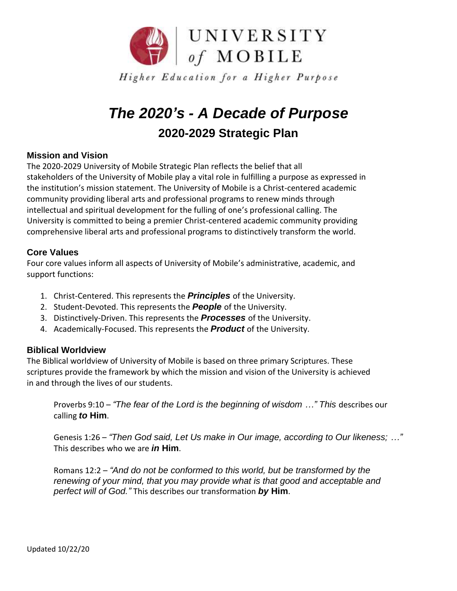

Higher Education for a Higher Purpose

# *The 2020's - A Decade of Purpose* **2020-2029 Strategic Plan**

### **Mission and Vision**

The 2020-2029 University of Mobile Strategic Plan reflects the belief that all stakeholders of the University of Mobile play a vital role in fulfilling a purpose as expressed in the institution's mission statement. The University of Mobile is a Christ-centered academic community providing liberal arts and professional programs to renew minds through intellectual and spiritual development for the fulling of one's professional calling. The University is committed to being a premier Christ-centered academic community providing comprehensive liberal arts and professional programs to distinctively transform the world.

### **Core Values**

Four core values inform all aspects of University of Mobile's administrative, academic, and support functions:

- 1. Christ-Centered. This represents the *Principles* of the University.
- 2. Student-Devoted. This represents the *People* of the University.
- 3. Distinctively-Driven. This represents the *Processes* of the University.
- 4. Academically-Focused. This represents the *Product* of the University.

## **Biblical Worldview**

The Biblical worldview of University of Mobile is based on three primary Scriptures. These scriptures provide the framework by which the mission and vision of the University is achieved in and through the lives of our students.

Proverbs 9:10 – *"The fear of the Lord is the beginning of wisdom …" This* describes our calling *to* **Him**.

Genesis 1:26 – *"Then God said, Let Us make in Our image, according to Our likeness; …"* This describes who we are *in* **Him**.

Romans 12:2 – *"And do not be conformed to this world, but be transformed by the renewing of your mind, that you may provide what is that good and acceptable and perfect will of God."* This describes our transformation *by* **Him**.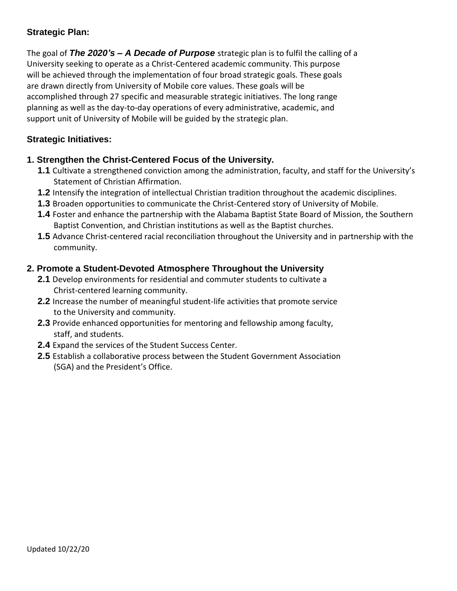# **Strategic Plan:**

The goal of *The 2020's – A Decade of Purpose* strategic plan is to fulfil the calling of a University seeking to operate as a Christ-Centered academic community. This purpose will be achieved through the implementation of four broad strategic goals. These goals are drawn directly from University of Mobile core values. These goals will be accomplished through 27 specific and measurable strategic initiatives. The long range planning as well as the day-to-day operations of every administrative, academic, and support unit of University of Mobile will be guided by the strategic plan.

# **Strategic Initiatives:**

## **1. Strengthen the Christ-Centered Focus of the University.**

- **1.1** Cultivate a strengthened conviction among the administration, faculty, and staff for the University's Statement of Christian Affirmation.
- **1.2** Intensify the integration of intellectual Christian tradition throughout the academic disciplines.
- **1.3** Broaden opportunities to communicate the Christ-Centered story of University of Mobile.
- **1.4** Foster and enhance the partnership with the Alabama Baptist State Board of Mission, the Southern Baptist Convention, and Christian institutions as well as the Baptist churches.
- **1.5** Advance Christ-centered racial reconciliation throughout the University and in partnership with the community.

### **2. Promote a Student-Devoted Atmosphere Throughout the University**

- **2.1** Develop environments for residential and commuter students to cultivate a Christ-centered learning community.
- **2.2** Increase the number of meaningful student-life activities that promote service to the University and community.
- **2.3** Provide enhanced opportunities for mentoring and fellowship among faculty, staff, and students.
- **2.4** Expand the services of the Student Success Center.
- **2.5** Establish a collaborative process between the Student Government Association (SGA) and the President's Office.